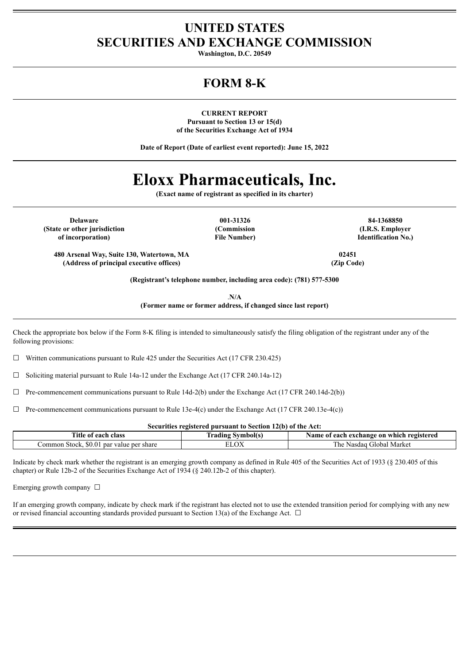# **UNITED STATES SECURITIES AND EXCHANGE COMMISSION**

**Washington, D.C. 20549**

# **FORM 8-K**

**CURRENT REPORT Pursuant to Section 13 or 15(d) of the Securities Exchange Act of 1934**

**Date of Report (Date of earliest event reported): June 15, 2022**

# **Eloxx Pharmaceuticals, Inc.**

**(Exact name of registrant as specified in its charter)**

**(State or other jurisdiction of incorporation)**

**(Commission File Number)**

**Delaware 001-31326 84-1368850 (I.R.S. Employer Identification No.)**

**480 Arsenal Way, Suite 130, Watertown, MA 02451 (Address of principal executive offices) (Zip Code)**

**(Registrant's telephone number, including area code): (781) 577-5300**

.**N/A**

**(Former name or former address, if changed since last report)**

Check the appropriate box below if the Form 8-K filing is intended to simultaneously satisfy the filing obligation of the registrant under any of the following provisions:

 $\Box$  Written communications pursuant to Rule 425 under the Securities Act (17 CFR 230.425)

☐ Soliciting material pursuant to Rule 14a-12 under the Exchange Act (17 CFR 240.14a-12)

 $\Box$  Pre-commencement communications pursuant to Rule 14d-2(b) under the Exchange Act (17 CFR 240.14d-2(b))

 $\Box$  Pre-commencement communications pursuant to Rule 13e-4(c) under the Exchange Act (17 CFR 240.13e-4(c))

#### **Securities registered pursuant to Section 12(b) of the Act:**

| mme.<br>class<br>each<br>- OI<br>. itle                     | lradıng<br>svmbolts | `which registered<br>each exchange on :<br>Name oi |
|-------------------------------------------------------------|---------------------|----------------------------------------------------|
| `ommon<br>share<br>value<br>. ner<br>Stock.<br>pai<br>57. J | ΩY                  | Market<br>ilobal<br>∪he<br>Nasda.                  |

Indicate by check mark whether the registrant is an emerging growth company as defined in Rule 405 of the Securities Act of 1933 (§ 230.405 of this chapter) or Rule 12b-2 of the Securities Exchange Act of 1934 (§ 240.12b-2 of this chapter).

Emerging growth company ☐

If an emerging growth company, indicate by check mark if the registrant has elected not to use the extended transition period for complying with any new or revised financial accounting standards provided pursuant to Section 13(a) of the Exchange Act.  $\Box$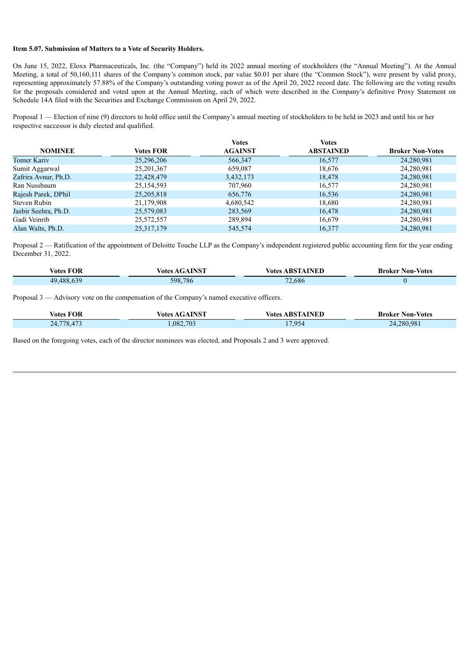#### **Item 5.07. Submission of Matters to a Vote of Security Holders.**

On June 15, 2022, Eloxx Pharmaceuticals, Inc. (the "Company") held its 2022 annual meeting of stockholders (the "Annual Meeting"). At the Annual Meeting, a total of 50,160,111 shares of the Company's common stock, par value \$0.01 per share (the "Common Stock"), were present by valid proxy, representing approximately 57.88% of the Company's outstanding voting power as of the April 20, 2022 record date. The following are the voting results for the proposals considered and voted upon at the Annual Meeting, each of which were described in the Company's definitive Proxy Statement on Schedule 14A filed with the Securities and Exchange Commission on April 29, 2022.

Proposal 1 — Election of nine (9) directors to hold office until the Company's annual meeting of stockholders to be held in 2023 and until his or her respective successor is duly elected and qualified.

|                      |                  | <b>Votes</b>   | <b>Votes</b>     |                         |
|----------------------|------------------|----------------|------------------|-------------------------|
| <b>NOMINEE</b>       | <b>Votes FOR</b> | <b>AGAINST</b> | <b>ABSTAINED</b> | <b>Broker Non-Votes</b> |
| <b>Tomer Kariv</b>   | 25,296,206       | 566,347        | 16,577           | 24,280,981              |
| Sumit Aggarwal       | 25, 201, 367     | 659,087        | 18,676           | 24,280,981              |
| Zafrira Avnur, Ph.D. | 22,428,479       | 3,432,173      | 18,478           | 24,280,981              |
| Ran Nussbaum         | 25,154,593       | 707,960        | 16,577           | 24,280,981              |
| Rajesh Parek, DPhil  | 25,205,818       | 656,776        | 16,536           | 24,280,981              |
| Steven Rubin         | 21,179,908       | 4,680,542      | 18,680           | 24,280,981              |
| Jasbir Seehra, Ph.D. | 25,579,083       | 283,569        | 16,478           | 24,280,981              |
| Gadi Veinrib         | 25,572,557       | 289,894        | 16,679           | 24,280,981              |
| Alan Walts, Ph.D.    | 25, 317, 179     | 545,574        | 16,377           | 24,280,981              |
|                      |                  |                |                  |                         |

Proposal 2 — Ratification of the appointment of Deloitte Touche LLP as the Company's independent registered public accounting firm for the year ending December 31, 2022.

| - -<br>Votes FOR                 | ∕otes   | √otes                             | Non-Votes<br>Broker |
|----------------------------------|---------|-----------------------------------|---------------------|
| $\sim$<br>488<br>$\overline{AQ}$ | 598,786 | 2.686<br>$\overline{\phantom{a}}$ |                     |

Proposal 3 — Advisory vote on the compensation of the Company's named executive officers.

| <b>Votes FOR</b> | <b>Votes AGAINST</b> | <b>Votes ABSTAINED</b> | <b>Broker Non-Votes</b> |
|------------------|----------------------|------------------------|-------------------------|
| .778,473<br>24.  | .082,703             | 17,954                 | 24,280,981              |

Based on the foregoing votes, each of the director nominees was elected, and Proposals 2 and 3 were approved.